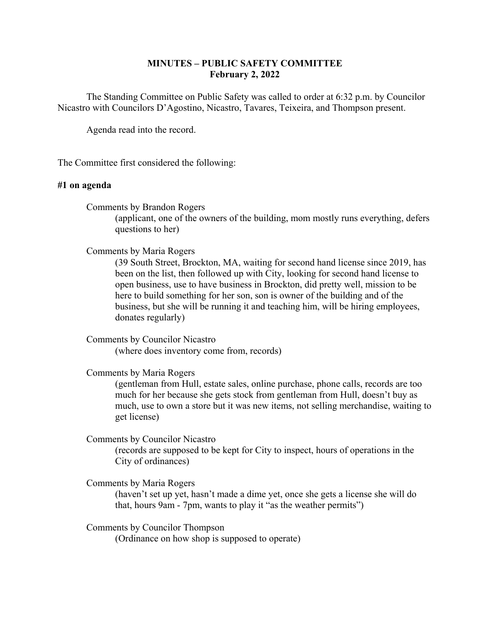# **MINUTES – PUBLIC SAFETY COMMITTEE February 2, 2022**

The Standing Committee on Public Safety was called to order at 6:32 p.m. by Councilor Nicastro with Councilors D'Agostino, Nicastro, Tavares, Teixeira, and Thompson present.

Agenda read into the record.

The Committee first considered the following:

# **#1 on agenda**

Comments by Brandon Rogers

(applicant, one of the owners of the building, mom mostly runs everything, defers questions to her)

## Comments by Maria Rogers

(39 South Street, Brockton, MA, waiting for second hand license since 2019, has been on the list, then followed up with City, looking for second hand license to open business, use to have business in Brockton, did pretty well, mission to be here to build something for her son, son is owner of the building and of the business, but she will be running it and teaching him, will be hiring employees, donates regularly)

Comments by Councilor Nicastro (where does inventory come from, records)

Comments by Maria Rogers

(gentleman from Hull, estate sales, online purchase, phone calls, records are too much for her because she gets stock from gentleman from Hull, doesn't buy as much, use to own a store but it was new items, not selling merchandise, waiting to get license)

Comments by Councilor Nicastro

(records are supposed to be kept for City to inspect, hours of operations in the City of ordinances)

Comments by Maria Rogers

(haven't set up yet, hasn't made a dime yet, once she gets a license she will do that, hours 9am - 7pm, wants to play it "as the weather permits")

Comments by Councilor Thompson (Ordinance on how shop is supposed to operate)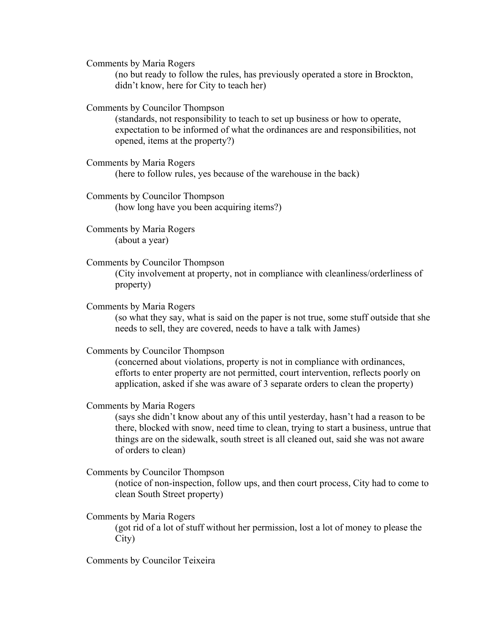Comments by Maria Rogers

(no but ready to follow the rules, has previously operated a store in Brockton, didn't know, here for City to teach her)

Comments by Councilor Thompson

(standards, not responsibility to teach to set up business or how to operate, expectation to be informed of what the ordinances are and responsibilities, not opened, items at the property?)

- Comments by Maria Rogers (here to follow rules, yes because of the warehouse in the back)
- Comments by Councilor Thompson (how long have you been acquiring items?)

Comments by Maria Rogers (about a year)

- Comments by Councilor Thompson (City involvement at property, not in compliance with cleanliness/orderliness of property)
	- Comments by Maria Rogers

(so what they say, what is said on the paper is not true, some stuff outside that she needs to sell, they are covered, needs to have a talk with James)

Comments by Councilor Thompson

(concerned about violations, property is not in compliance with ordinances, efforts to enter property are not permitted, court intervention, reflects poorly on application, asked if she was aware of 3 separate orders to clean the property)

Comments by Maria Rogers

(says she didn't know about any of this until yesterday, hasn't had a reason to be there, blocked with snow, need time to clean, trying to start a business, untrue that things are on the sidewalk, south street is all cleaned out, said she was not aware of orders to clean)

Comments by Councilor Thompson

(notice of non-inspection, follow ups, and then court process, City had to come to clean South Street property)

Comments by Maria Rogers

(got rid of a lot of stuff without her permission, lost a lot of money to please the City)

Comments by Councilor Teixeira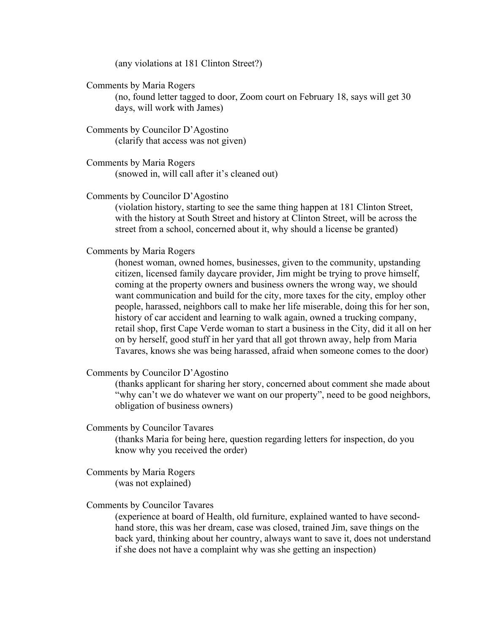(any violations at 181 Clinton Street?)

Comments by Maria Rogers

(no, found letter tagged to door, Zoom court on February 18, says will get 30 days, will work with James)

Comments by Councilor D'Agostino (clarify that access was not given)

Comments by Maria Rogers (snowed in, will call after it's cleaned out)

#### Comments by Councilor D'Agostino

 street from a school, concerned about it, why should a license be granted) (violation history, starting to see the same thing happen at 181 Clinton Street, with the history at South Street and history at Clinton Street, will be across the

### Comments by Maria Rogers

(honest woman, owned homes, businesses, given to the community, upstanding citizen, licensed family daycare provider, Jim might be trying to prove himself, coming at the property owners and business owners the wrong way, we should want communication and build for the city, more taxes for the city, employ other people, harassed, neighbors call to make her life miserable, doing this for her son, history of car accident and learning to walk again, owned a trucking company, retail shop, first Cape Verde woman to start a business in the City, did it all on her on by herself, good stuff in her yard that all got thrown away, help from Maria Tavares, knows she was being harassed, afraid when someone comes to the door)

Comments by Councilor D'Agostino

(thanks applicant for sharing her story, concerned about comment she made about "why can't we do whatever we want on our property", need to be good neighbors, obligation of business owners)

# Comments by Councilor Tavares

(thanks Maria for being here, question regarding letters for inspection, do you know why you received the order)

Comments by Maria Rogers (was not explained)

### Comments by Councilor Tavares

(experience at board of Health, old furniture, explained wanted to have secondhand store, this was her dream, case was closed, trained Jim, save things on the back yard, thinking about her country, always want to save it, does not understand if she does not have a complaint why was she getting an inspection)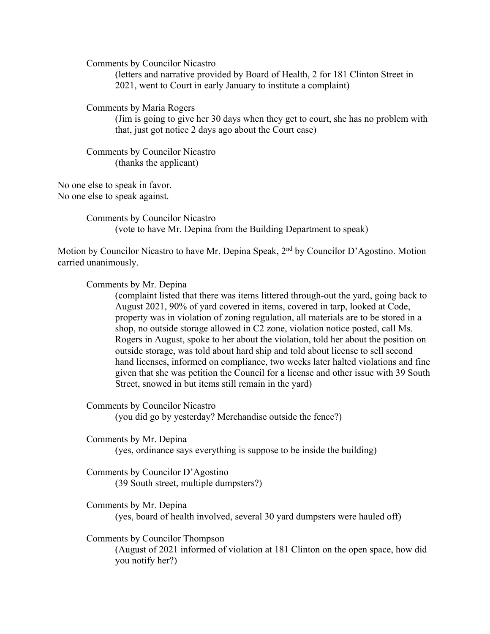Comments by Councilor Nicastro

(letters and narrative provided by Board of Health, 2 for 181 Clinton Street in 2021, went to Court in early January to institute a complaint)

Comments by Maria Rogers

(Jim is going to give her 30 days when they get to court, she has no problem with that, just got notice 2 days ago about the Court case)

Comments by Councilor Nicastro (thanks the applicant)

No one else to speak in favor. No one else to speak against.

> Comments by Councilor Nicastro (vote to have Mr. Depina from the Building Department to speak)

Motion by Councilor Nicastro to have Mr. Depina Speak, 2<sup>nd</sup> by Councilor D'Agostino. Motion carried unanimously.

Comments by Mr. Depina

(complaint listed that there was items littered through-out the yard, going back to August 2021, 90% of yard covered in items, covered in tarp, looked at Code, property was in violation of zoning regulation, all materials are to be stored in a shop, no outside storage allowed in C2 zone, violation notice posted, call Ms. Rogers in August, spoke to her about the violation, told her about the position on outside storage, was told about hard ship and told about license to sell second hand licenses, informed on compliance, two weeks later halted violations and fine given that she was petition the Council for a license and other issue with 39 South Street, snowed in but items still remain in the yard)

Comments by Councilor Nicastro

(you did go by yesterday? Merchandise outside the fence?)

Comments by Mr. Depina

(yes, ordinance says everything is suppose to be inside the building)

Comments by Councilor D'Agostino (39 South street, multiple dumpsters?)

Comments by Mr. Depina (yes, board of health involved, several 30 yard dumpsters were hauled off)

Comments by Councilor Thompson

(August of 2021 informed of violation at 181 Clinton on the open space, how did you notify her?)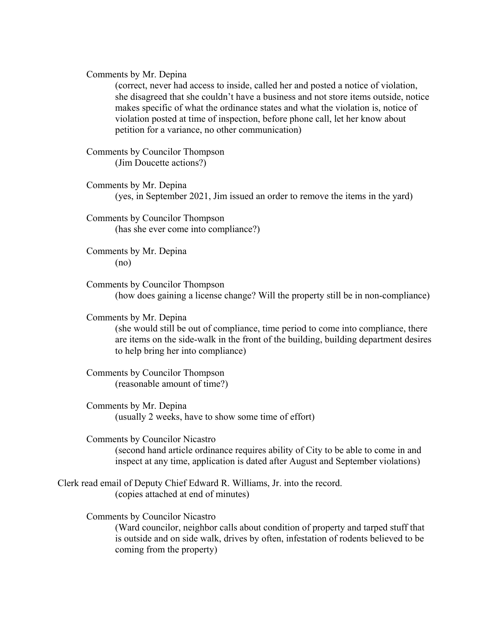Comments by Mr. Depina

(correct, never had access to inside, called her and posted a notice of violation, she disagreed that she couldn't have a business and not store items outside, notice makes specific of what the ordinance states and what the violation is, notice of violation posted at time of inspection, before phone call, let her know about petition for a variance, no other communication)

Comments by Councilor Thompson (Jim Doucette actions?)

Comments by Mr. Depina (yes, in September 2021, Jim issued an order to remove the items in the yard)

Comments by Councilor Thompson (has she ever come into compliance?)

Comments by Mr. Depina (no)

Comments by Councilor Thompson (how does gaining a license change? Will the property still be in non-compliance)

Comments by Mr. Depina

(she would still be out of compliance, time period to come into compliance, there are items on the side-walk in the front of the building, building department desires to help bring her into compliance)

Comments by Councilor Thompson (reasonable amount of time?)

Comments by Mr. Depina (usually 2 weeks, have to show some time of effort)

Comments by Councilor Nicastro (second hand article ordinance requires ability of City to be able to come in and inspect at any time, application is dated after August and September violations)

Clerk read email of Deputy Chief Edward R. Williams, Jr. into the record. (copies attached at end of minutes)

Comments by Councilor Nicastro

(Ward councilor, neighbor calls about condition of property and tarped stuff that is outside and on side walk, drives by often, infestation of rodents believed to be coming from the property)